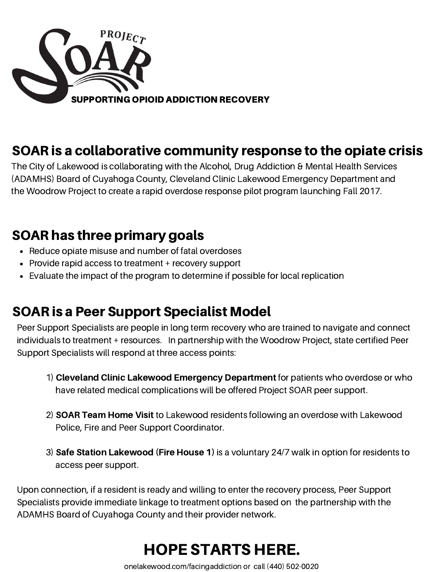

### SOAR is a collaborative community response to the opiate crisis

The City of Lakewood is collaborating with the Alcohol, Drug Addiction & Mental Health Services (ADAMHS) Board of Cuyahoga County, Cleveland Clinic Lakewood Emergency Department and the Woodrow Project to create a rapid overdose response pilot program launching Fall 2017.

#### SOAR has three primary goals

- Reduce opiate misuse and number of fatal overdoses
- Provide rapid access to treatment + recovery support
- Evaluate the impact of the program to determine if possible for local replication

#### SOAR is a Peer Support Specialist Model

Peer Support Specialists are people in long term recovery who are trained to navigate and connect individuals to treatment + resources. In partnership with the Woodrow Project, state certified Peer Support Specialists will respond at three access points:

- 1) Cleveland Clinic Lakewood Emergency Department for patients who overdose or who have related medical complications will be offered Project SOAR peer support.
- 2) SOAR Team Home Visit to Lakewood residents following an overdose with Lakewood Police, Fire and Peer Support Coordinator.
- 3) Safe Station Lakewood (Fire House 1) is a voluntary 24/7 walk in option for residents to access peer support.

Upon connection, if a resident is ready and willing to enter the recovery process, Peer Support Specialists provide immediate linkage to treatment options based on the partnership with the ADAMHS Board of Cuyahoga County and their provider network.

# HOPE STARTS HERE.

onelakewood.com/facingaddiction or call (440) 502-0020